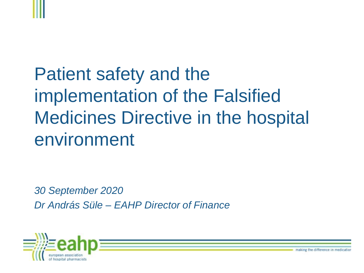# Patient safety and the implementation of the Falsified Medicines Directive in the hospital environment

*30 September 2020 Dr András Süle – EAHP Director of Finance*



making the difference in medicatio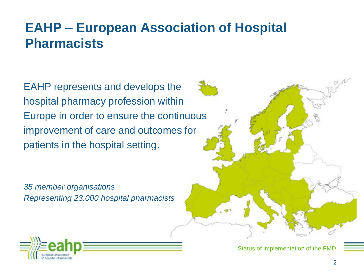#### **EAHP – European Association of Hospital Pharmacists**

EAHP represents and develops the hospital pharmacy profession within Europe in order to ensure the continuous improvement of care and outcomes for patients in the hospital setting.

*35 member organisations Representing 23.000 hospital pharmacists* 



Status of implementation of the FMD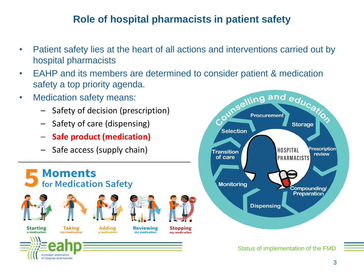#### **Role of hospital pharmacists in patient safety**

• Patient safety lies at the heart of all actions and interventions carried out by hospital pharmacists

**Se** 

Selection

**Procurement** 

**Storage** 

 $\mathcal{C}^{\mathcal{S}^{\mathcal{S}}}$ 

- EAHP and its members are determined to consider patient & medication safety a top priority agenda. ling and educat:
- Medication safety means:
	- Safety of decision (prescription)
	- Safety of care (dispensing)
	- **Safe product (medication)**
	- Safe access (supply chain)

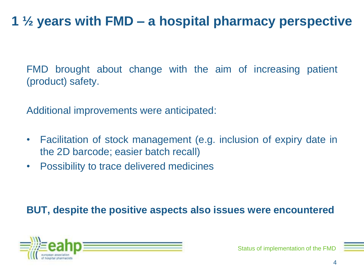## **1 ½ years with FMD – a hospital pharmacy perspective**

FMD brought about change with the aim of increasing patient (product) safety.

Additional improvements were anticipated:

- Facilitation of stock management (e.g. inclusion of expiry date in the 2D barcode; easier batch recall)
- Possibility to trace delivered medicines

#### **BUT, despite the positive aspects also issues were encountered**

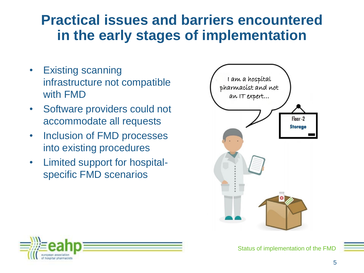## **Practical issues and barriers encountered in the early stages of implementation**

- Existing scanning infrastructure not compatible with FMD
- Software providers could not accommodate all requests
- Inclusion of FMD processes into existing procedures
- Limited support for hospitalspecific FMD scenarios



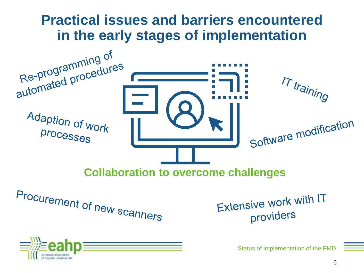### **Practical issues and barriers encountered in the early stages of implementation**

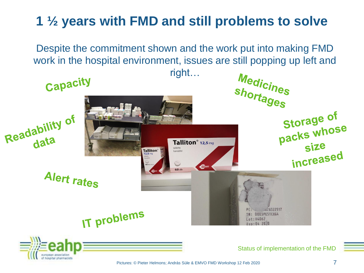## **1 ½ years with FMD and still problems to solve**

Despite the commitment shown and the work put into making FMD work in the hospital environment, issues are still popping up left and



hospital pharmacists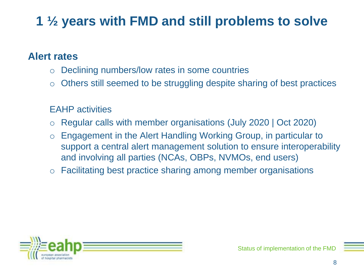## **1 ½ years with FMD and still problems to solve**

#### **Alert rates**

- o Declining numbers/low rates in some countries
- o Others still seemed to be struggling despite sharing of best practices

#### EAHP activities

- o Regular calls with member organisations (July 2020 | Oct 2020)
- o Engagement in the Alert Handling Working Group, in particular to support a central alert management solution to ensure interoperability and involving all parties (NCAs, OBPs, NVMOs, end users)
- o Facilitating best practice sharing among member organisations

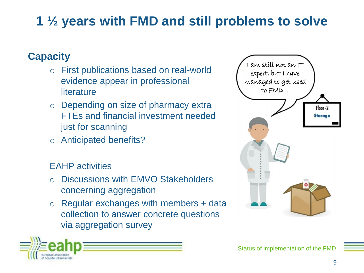## **1 ½ years with FMD and still problems to solve**

#### **Capacity**

- o First publications based on real-world evidence appear in professional **literature**
- o Depending on size of pharmacy extra FTEs and financial investment needed just for scanning
- o Anticipated benefits?

#### EAHP activities

- Discussions with EMVO Stakeholders concerning aggregation
- $\circ$  Regular exchanges with members + data collection to answer concrete questions via aggregation survey